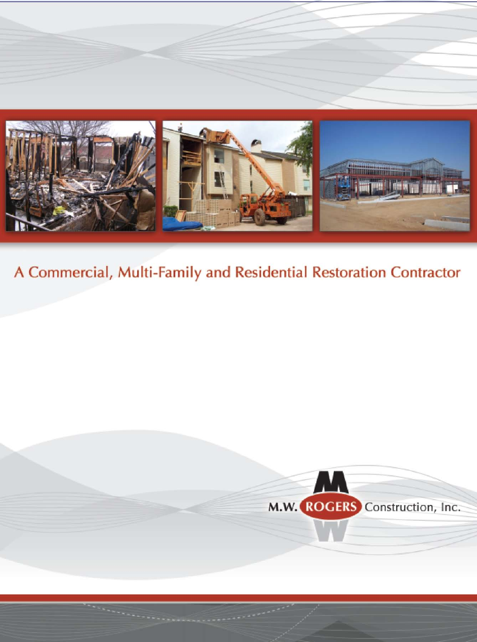

# A Commercial, Multi-Family and Residential Restoration Contractor

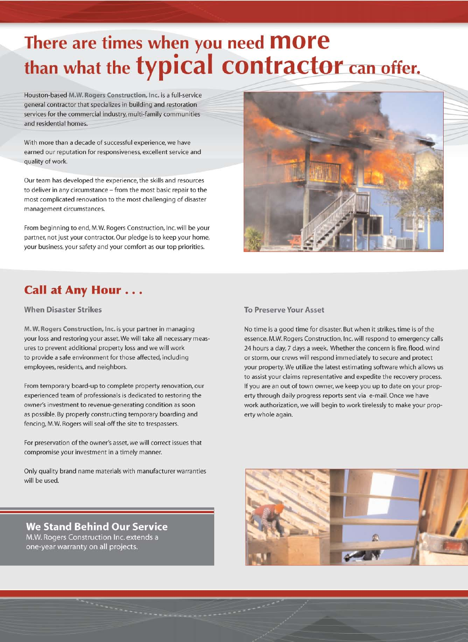# There are times when you need **more**<br>than what the **typical contractor** can offer.

Houston-based M.W. Rogers Construction, Inc. is a full-service general contractor that specializes in building and restoration services for the commercial industry, multi-family communities and residential homes.

With more than a decade of successful experience, we have earned our reputation for responsiveness, excellent service and quality of work.

Our team has developed the experience, the skills and resources to deliver in any circumstance - from the most basic repair to the most complicated renovation to the most challenging of disaster management circumstances.

From beginning to end, M.W. Rogers Construction, Inc. will be your partner, not just your contractor. Our pledge is to keep your home, your business, your safety and your comfort as our top priorities.

#### **Call at Any Hour...**

#### **When Disaster Strikes**

M. W. Rogers Construction, Inc. is your partner in managing your loss and restoring your asset. We will take all necessary measures to prevent additional property loss and we will work to provide a safe environment for those affected, including employees, residents, and neighbors.

From temporary board-up to complete property renovation, our experienced team of professionals is dedicated to restoring the owner's investment to revenue-generating condition as soon as possible. By properly constructing temporary boarding and fencing, M.W. Rogers will seal-off the site to trespassers.

For preservation of the owner's asset, we will correct issues that compromise your investment in a timely manner.

Only quality brand name materials with manufacturer warranties will be used.

#### **We Stand Behind Our Service** M.W. Rogers Construction Inc. extends a

one-year warranty on all projects.



#### **To Preserve Your Asset**

No time is a good time for disaster. But when it strikes, time is of the essence. M.W. Rogers Construction, Inc. will respond to emergency calls 24 hours a day, 7 days a week. Whether the concern is fire, flood, wind or storm, our crews will respond immediately to secure and protect your property. We utilize the latest estimating software which allows us to assist your claims representative and expedite the recovery process. If you are an out of town owner, we keep you up to date on your property through daily progress reports sent via e-mail. Once we have work authorization, we will begin to work tirelessly to make your property whole again.

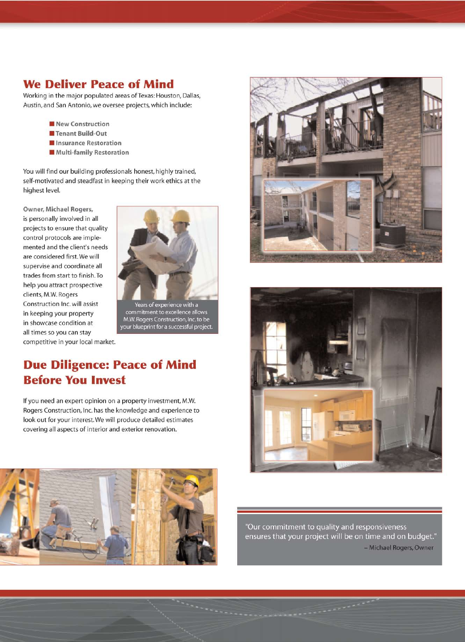#### **We Deliver Peace of Mind**

Working in the major populated areas of Texas: Houston, Dallas, Austin, and San Antonio, we oversee projects, which include:

- New Construction
- Tenant Build-Out
- Insurance Restoration
- Multi-family Restoration

You will find our building professionals honest, highly trained, self-motivated and steadfast in keeping their work ethics at the highest level.

Owner, Michael Rogers, is personally involved in all projects to ensure that quality control protocols are implemented and the client's needs are considered first. We will supervise and coordinate all trades from start to finish. To help you attract prospective clients, M.W. Rogers Construction Inc. will assist in keeping your property in showcase condition at all times so you can stay competitive in your local market.



commitment to excellence allows M.W. Rogers Construction, Inc. to be your blueprint for a successful project.

#### **Due Diligence: Peace of Mind Before You Invest**

If you need an expert opinion on a property investment, M.W. Rogers Construction, Inc. has the knowledge and experience to look out for your interest. We will produce detailed estimates covering all aspects of interior and exterior renovation.







"Our commitment to quality and responsiveness ensures that your project will be on time and on budget." - Michael Rogers, Owner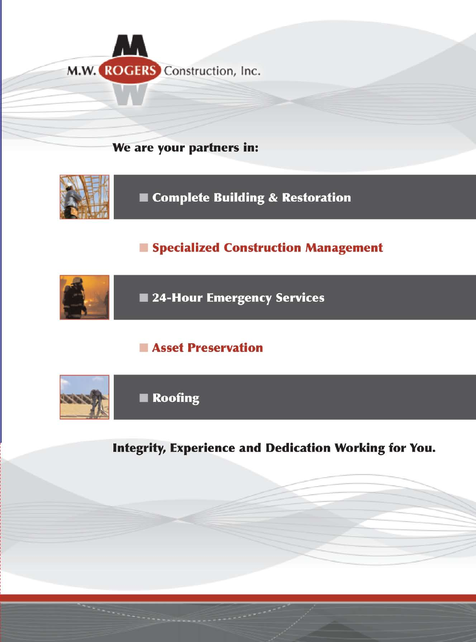

## We are your partners in:



Complete Building & Restoration

## Specialized Construction Management



## Asset Preservation



**Integrity, Experience and Dedication Working for You.**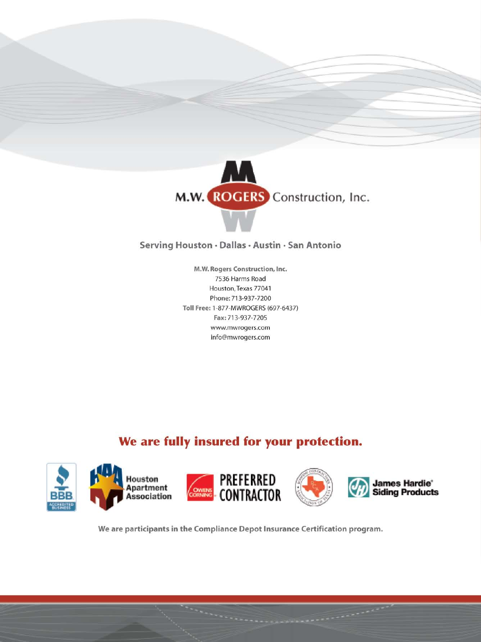



#### Serving Houston · Dallas · Austin · San Antonio

M.W. Rogers Construction, Inc. 7536 Harms Road Houston, Texas 77041 Phone: 713-937-7200 Toll Free: 1-877-MWROGERS (697-6437) Fax: 713-937-7205 www.mwrogers.com info@mwrogers.com

## We are fully insured for your protection.



We are participants in the Compliance Depot Insurance Certification program.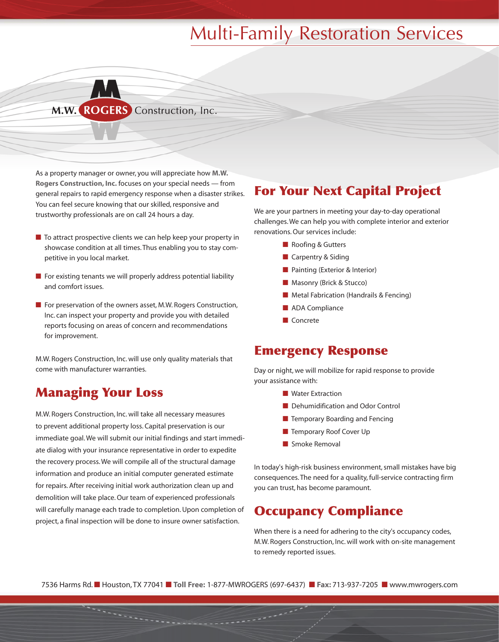# Multi-Family Restoration Services



As a property manager or owner, you will appreciate how **M.W. Rogers Construction, Inc.** focuses on your special needs — from general repairs to rapid emergency response when a disaster strikes. You can feel secure knowing that our skilled, responsive and trustworthy professionals are on call 24 hours a day.

- To attract prospective clients we can help keep your property in showcase condition at all times. Thus enabling you to stay competitive in you local market.
- $\blacksquare$  For existing tenants we will properly address potential liability and comfort issues.
- For preservation of the owners asset, M.W. Rogers Construction, Inc. can inspect your property and provide you with detailed reports focusing on areas of concern and recommendations for improvement.

M.W. Rogers Construction, Inc. will use only quality materials that come with manufacturer warranties.

#### Managing Your Loss

M.W. Rogers Construction, Inc. will take all necessary measures to prevent additional property loss. Capital preservation is our immediate goal. We will submit our initial findings and start immediate dialog with your insurance representative in order to expedite the recovery process. We will compile all of the structural damage information and produce an initial computer generated estimate for repairs. After receiving initial work authorization clean up and demolition will take place. Our team of experienced professionals will carefully manage each trade to completion. Upon completion of project, a final inspection will be done to insure owner satisfaction.

#### For Your Next Capital Project

We are your partners in meeting your day-to-day operational challenges. We can help you with complete interior and exterior renovations. Our services include:

- Roofing & Gutters
- Carpentry & Siding
- Painting (Exterior & Interior)
- Masonry (Brick & Stucco)
- Metal Fabrication (Handrails & Fencing)
- ADA Compliance
- Concrete

#### Emergency Response

Day or night, we will mobilize for rapid response to provide your assistance with:

- Water Extraction
- Dehumidification and Odor Control
- Temporary Boarding and Fencing
- Temporary Roof Cover Up
- Smoke Removal

In today's high-risk business environment, small mistakes have big consequences. The need for a quality, full-service contracting firm you can trust, has become paramount.

#### Occupancy Compliance

When there is a need for adhering to the city's occupancy codes, M.W. Rogers Construction, Inc. will work with on-site management to remedy reported issues.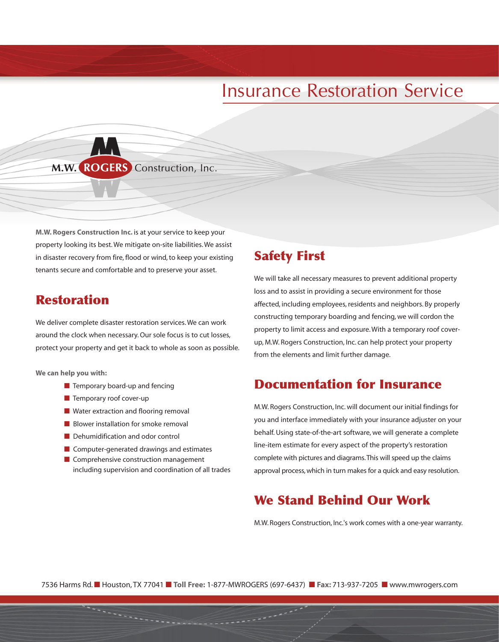# Insurance Restoration Service

#### M.W. ROGERS Construction, Inc.

**M.W. Rogers Construction Inc.** is at your service to keep your property looking its best. We mitigate on-site liabilities. We assist in disaster recovery from fire, flood or wind, to keep your existing tenants secure and comfortable and to preserve your asset.

#### Restoration

We deliver complete disaster restoration services. We can work around the clock when necessary.Our sole focus is to cut losses, protect your property and get it back to whole as soon as possible.

**We can help you with:**

- Temporary board-up and fencing
- Temporary roof cover-up
- Water extraction and flooring removal
- Blower installation for smoke removal
- Dehumidification and odor control
- Computer-generated drawings and estimates
- Comprehensive construction management including supervision and coordination of all trades

#### Safety First

We will take all necessary measures to prevent additional property loss and to assist in providing a secure environment for those affected, including employees, residents and neighbors. By properly constructing temporary boarding and fencing, we will cordon the property to limit access and exposure. With a temporary roof coverup, M.W. Rogers Construction, Inc. can help protect your property from the elements and limit further damage.

#### Documentation for Insurance

M.W. Rogers Construction, Inc. will document our initial findings for you and interface immediately with your insurance adjuster on your behalf. Using state-of-the-art software, we will generate a complete line-item estimate for every aspect of the property's restoration complete with pictures and diagrams.This will speed up the claims approval process, which in turn makes for a quick and easy resolution.

#### We Stand Behind Our Work

M.W. Rogers Construction, Inc.'s work comes with a one-year warranty.